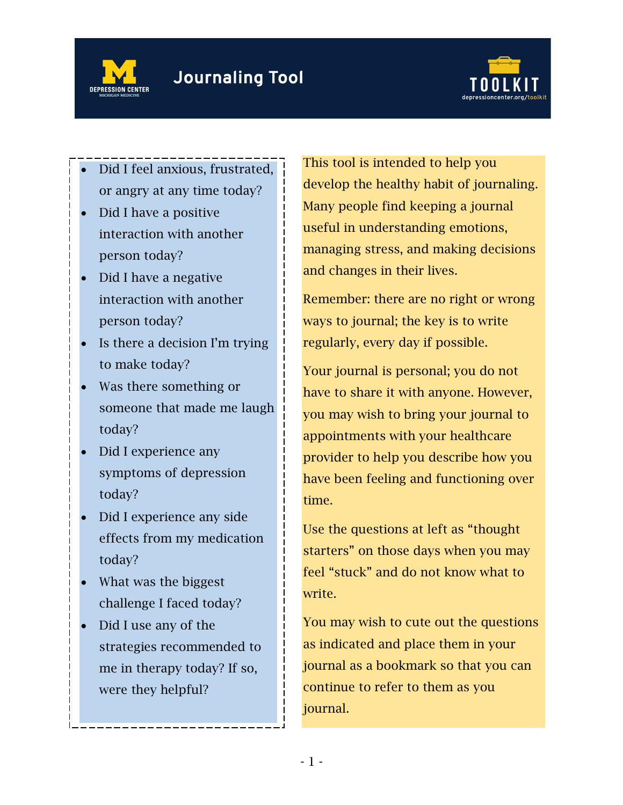



- Did I feel anxious, frustrated, or angry at any time today?
- Did I have a positive interaction with another person today?
- Did I have a negative interaction with another person today?
- Is there a decision I'm trying to make today?
- Was there something or someone that made me laugh today?
- Did I experience any symptoms of depression today?
- Did I experience any side effects from my medication today?
- What was the biggest challenge I faced today?
- Did I use any of the strategies recommended to me in therapy today? If so, were they helpful?

This tool is intended to help you develop the healthy habit of journaling. Many people find keeping a journal useful in understanding emotions, managing stress, and making decisions and changes in their lives.

Remember: there are no right or wrong ways to journal; the key is to write regularly, every day if possible.

Your journal is personal; you do not have to share it with anyone. However, you may wish to bring your journal to appointments with your healthcare provider to help you describe how you have been feeling and functioning over time.

Use the questions at left as "thought starters" on those days when you may feel "stuck" and do not know what to write.

You may wish to cute out the questions as indicated and place them in your journal as a bookmark so that you can continue to refer to them as you journal.